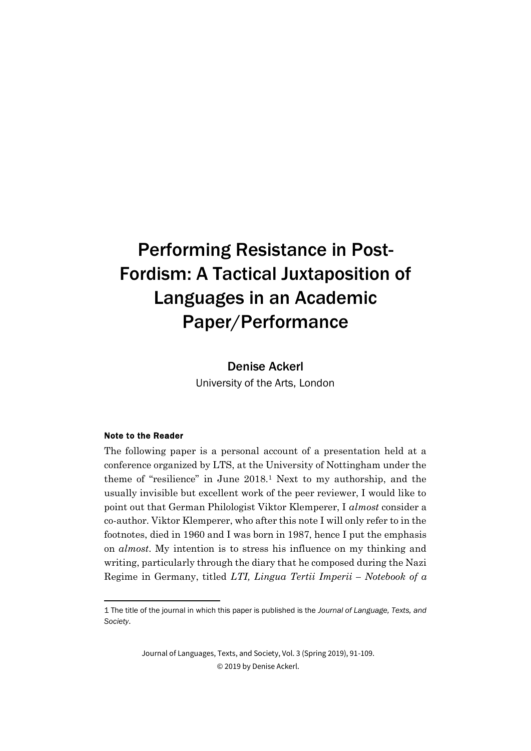# Performing Resistance in Post-Fordism: A Tactical Juxtaposition of Languages in an Academic Paper/Performance

Denise Ackerl University of the Arts, London

## Note to the Reader

 $\overline{a}$ 

The following paper is a personal account of a presentation held at a conference organized by LTS, at the University of Nottingham under the theme of "resilience" in June 2018.<sup>1</sup> Next to my authorship, and the usually invisible but excellent work of the peer reviewer, I would like to point out that German Philologist Viktor Klemperer, I *almost* consider a co-author. Viktor Klemperer, who after this note I will only refer to in the footnotes, died in 1960 and I was born in 1987, hence I put the emphasis on *almost*. My intention is to stress his influence on my thinking and writing, particularly through the diary that he composed during the Nazi Regime in Germany, titled *LTI, Lingua Tertii Imperii – Notebook of a* 

Journal of Languages, Texts, and Society, Vol. 3 (Spring 2019), 91-109. © 2019 by Denise Ackerl.

<sup>1</sup> The title of the journal in which this paper is published is the *Journal of Language, Texts, and Society*.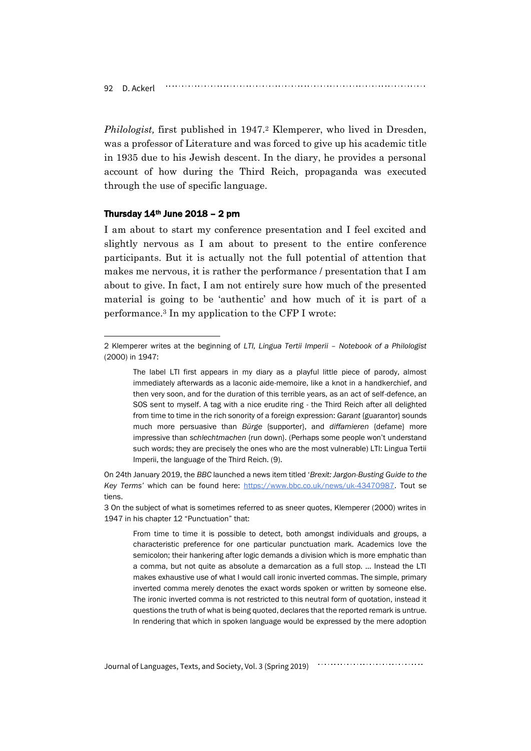|--|--|--|

*Philologist*, first published in 1947.<sup>2</sup> Klemperer, who lived in Dresden, was a professor of Literature and was forced to give up his academic title in 1935 due to his Jewish descent. In the diary, he provides a personal account of how during the Third Reich, propaganda was executed through the use of specific language.

## Thursday  $14<sup>th</sup>$  June 2018 - 2 pm

 $\overline{a}$ 

I am about to start my conference presentation and I feel excited and slightly nervous as I am about to present to the entire conference participants. But it is actually not the full potential of attention that makes me nervous, it is rather the performance / presentation that I am about to give. In fact, I am not entirely sure how much of the presented material is going to be 'authentic' and how much of it is part of a performance.3 In my application to the CFP I wrote:

Journal of Languages, Texts, and Society, Vol. 3 (Spring 2019) **The Community Contract Control** 

<sup>2</sup> Klemperer writes at the beginning of *LTI, Lingua Tertii Imperii – Notebook of a Philologist* (2000) in 1947:

The label LTI first appears in my diary as a playful little piece of parody, almost immediately afterwards as a laconic aide-memoire, like a knot in a handkerchief, and then very soon, and for the duration of this terrible years, as an act of self-defence, an SOS sent to myself. A tag with a nice erudite ring - the Third Reich after all delighted from time to time in the rich sonority of a foreign expression: *Garant* {guarantor} sounds much more persuasive than *Bürge* {supporter}, and *diffamieren* {defame} more impressive than *schlechtmachen* {run down}. (Perhaps some people won't understand such words; they are precisely the ones who are the most vulnerable) LTI: Lingua Tertii Imperii, the language of the Third Reich. (9).

On 24th January 2019, the *BBC* launched a news item titled '*Brexit: Jargon-Busting Guide to the Key Terms'* which can be found here: https://www.bbc.co.uk/news/uk-43470987. Tout se tiens.

<sup>3</sup> On the subject of what is sometimes referred to as sneer quotes, Klemperer (2000) writes in 1947 in his chapter 12 "Punctuation" that:

From time to time it is possible to detect, both amongst individuals and groups, a characteristic preference for one particular punctuation mark. Academics love the semicolon; their hankering after logic demands a division which is more emphatic than a comma, but not quite as absolute a demarcation as a full stop. … Instead the LTI makes exhaustive use of what I would call ironic inverted commas. The simple, primary inverted comma merely denotes the exact words spoken or written by someone else. The ironic inverted comma is not restricted to this neutral form of quotation, instead it questions the truth of what is being quoted, declares that the reported remark is untrue. In rendering that which in spoken language would be expressed by the mere adoption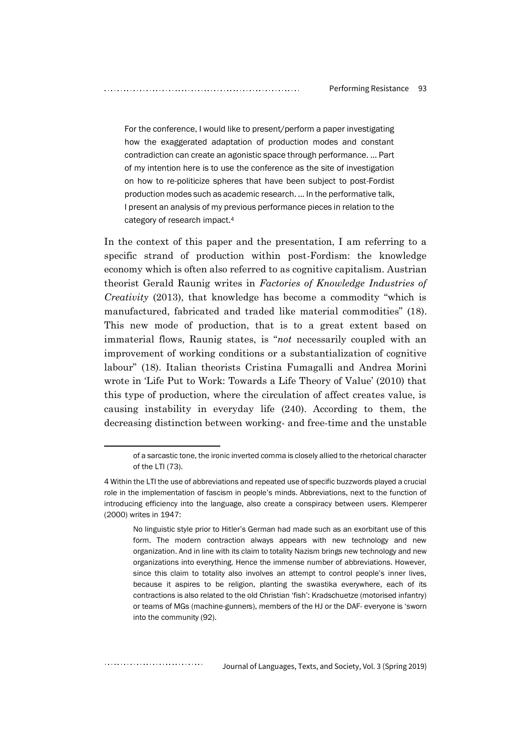For the conference, I would like to present/perform a paper investigating how the exaggerated adaptation of production modes and constant contradiction can create an agonistic space through performance. … Part of my intention here is to use the conference as the site of investigation on how to re-politicize spheres that have been subject to post-Fordist production modes such as academic research. … In the performative talk, I present an analysis of my previous performance pieces in relation to the category of research impact.4

In the context of this paper and the presentation, I am referring to a specific strand of production within post-Fordism: the knowledge economy which is often also referred to as cognitive capitalism. Austrian theorist Gerald Raunig writes in *Factories of Knowledge Industries of Creativity* (2013), that knowledge has become a commodity "which is manufactured, fabricated and traded like material commodities" (18). This new mode of production, that is to a great extent based on immaterial flows, Raunig states, is "*not* necessarily coupled with an improvement of working conditions or a substantialization of cognitive labour" (18). Italian theorists Cristina Fumagalli and Andrea Morini wrote in 'Life Put to Work: Towards a Life Theory of Value' (2010) that this type of production, where the circulation of affect creates value, is causing instability in everyday life (240). According to them, the decreasing distinction between working- and free-time and the unstable

 $\overline{a}$ 

of a sarcastic tone, the ironic inverted comma is closely allied to the rhetorical character of the LTI (73).

<sup>4</sup> Within the LTI the use of abbreviations and repeated use of specific buzzwords played a crucial role in the implementation of fascism in people's minds. Abbreviations, next to the function of introducing efficiency into the language, also create a conspiracy between users. Klemperer (2000) writes in 1947:

No linguistic style prior to Hitler's German had made such as an exorbitant use of this form. The modern contraction always appears with new technology and new organization. And in line with its claim to totality Nazism brings new technology and new organizations into everything. Hence the immense number of abbreviations. However, since this claim to totality also involves an attempt to control people's inner lives, because it aspires to be religion, planting the swastika everywhere, each of its contractions is also related to the old Christian 'fish': Kradschuetze (motorised infantry) or teams of MGs (machine-gunners), members of the HJ or the DAF- everyone is 'sworn into the community (92).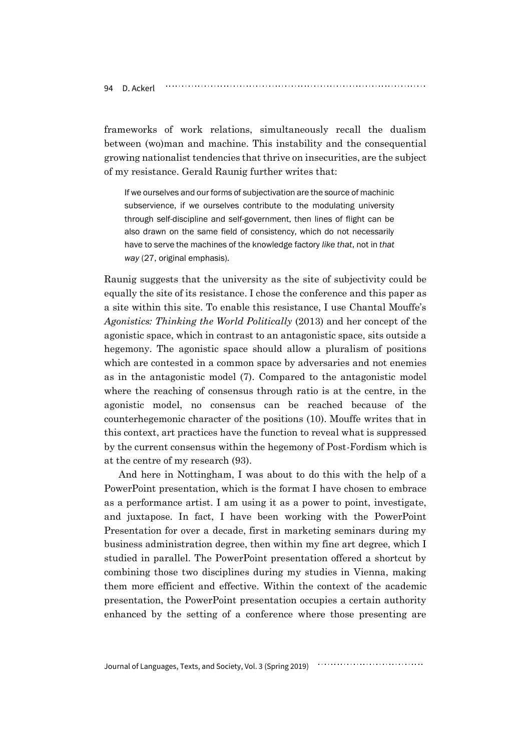frameworks of work relations, simultaneously recall the dualism between (wo)man and machine. This instability and the consequential growing nationalist tendencies that thrive on insecurities, are the subject of my resistance. Gerald Raunig further writes that:

If we ourselves and our forms of subjectivation are the source of machinic subservience, if we ourselves contribute to the modulating university through self-discipline and self-government, then lines of flight can be also drawn on the same field of consistency, which do not necessarily have to serve the machines of the knowledge factory *like that*, not in *that way* (27, original emphasis).

Raunig suggests that the university as the site of subjectivity could be equally the site of its resistance. I chose the conference and this paper as a site within this site. To enable this resistance, I use Chantal Mouffe's *Agonistics: Thinking the World Politically* (2013) and her concept of the agonistic space, which in contrast to an antagonistic space, sits outside a hegemony. The agonistic space should allow a pluralism of positions which are contested in a common space by adversaries and not enemies as in the antagonistic model (7). Compared to the antagonistic model where the reaching of consensus through ratio is at the centre, in the agonistic model, no consensus can be reached because of the counterhegemonic character of the positions (10). Mouffe writes that in this context, art practices have the function to reveal what is suppressed by the current consensus within the hegemony of Post-Fordism which is at the centre of my research (93).

And here in Nottingham, I was about to do this with the help of a PowerPoint presentation, which is the format I have chosen to embrace as a performance artist. I am using it as a power to point, investigate, and juxtapose. In fact, I have been working with the PowerPoint Presentation for over a decade, first in marketing seminars during my business administration degree, then within my fine art degree, which I studied in parallel. The PowerPoint presentation offered a shortcut by combining those two disciplines during my studies in Vienna, making them more efficient and effective. Within the context of the academic presentation, the PowerPoint presentation occupies a certain authority enhanced by the setting of a conference where those presenting are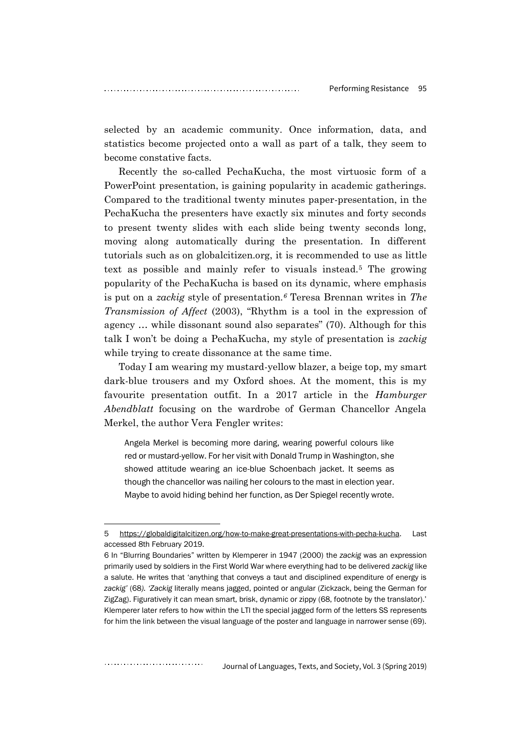selected by an academic community. Once information, data, and statistics become projected onto a wall as part of a talk, they seem to become constative facts.

Recently the so-called PechaKucha, the most virtuosic form of a PowerPoint presentation, is gaining popularity in academic gatherings. Compared to the traditional twenty minutes paper-presentation, in the PechaKucha the presenters have exactly six minutes and forty seconds to present twenty slides with each slide being twenty seconds long, moving along automatically during the presentation. In different tutorials such as on globalcitizen.org, it is recommended to use as little text as possible and mainly refer to visuals instead.5 The growing popularity of the PechaKucha is based on its dynamic, where emphasis is put on a *zackig* style of presentation.*<sup>6</sup>* Teresa Brennan writes in *The Transmission of Affect* (2003), "Rhythm is a tool in the expression of agency … while dissonant sound also separates" (70). Although for this talk I won't be doing a PechaKucha, my style of presentation is *zackig* while trying to create dissonance at the same time.

Today I am wearing my mustard-yellow blazer, a beige top, my smart dark-blue trousers and my Oxford shoes. At the moment, this is my favourite presentation outfit. In a 2017 article in the *Hamburger Abendblatt* focusing on the wardrobe of German Chancellor Angela Merkel, the author Vera Fengler writes:

Angela Merkel is becoming more daring, wearing powerful colours like red or mustard-yellow. For her visit with Donald Trump in Washington, she showed attitude wearing an ice-blue Schoenbach jacket. It seems as though the chancellor was nailing her colours to the mast in election year. Maybe to avoid hiding behind her function, as Der Spiegel recently wrote.

 $\overline{\phantom{a}}$ 

<sup>5</sup> https://globaldigitalcitizen.org/how-to-make-great-presentations-with-pecha-kucha. Last accessed 8th February 2019.

<sup>6</sup> In "Blurring Boundaries" written by Klemperer in 1947 (2000) the *zackig* was an expression primarily used by soldiers in the First World War where everything had to be delivered *zackig* like a salute. He writes that 'anything that conveys a taut and disciplined expenditure of energy is *zackig'* (68*). 'Zackig* literally means jagged, pointed or angular (Zickzack, being the German for ZigZag). Figuratively it can mean smart, brisk, dynamic or zippy (68, footnote by the translator).' Klemperer later refers to how within the LTI the special jagged form of the letters SS represents for him the link between the visual language of the poster and language in narrower sense (69).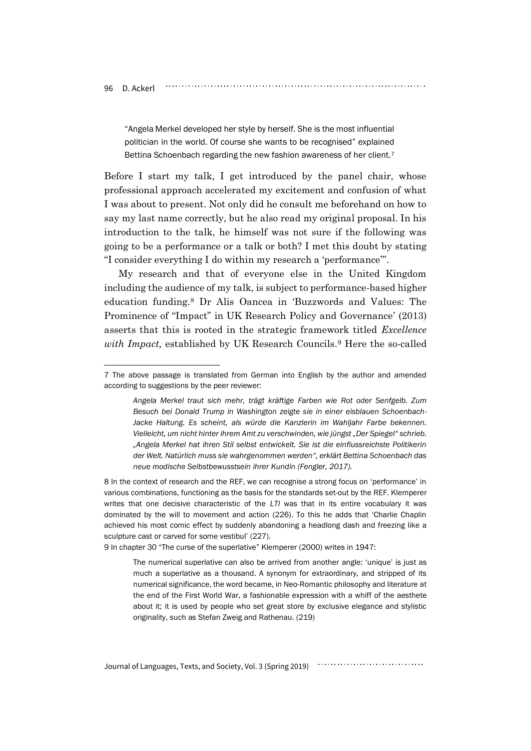| 96 D. Ackerl <u>www.www.www.www.www.www.www.www.www.</u> |  |
|----------------------------------------------------------|--|
|----------------------------------------------------------|--|

"Angela Merkel developed her style by herself. She is the most influential politician in the world. Of course she wants to be recognised" explained Bettina Schoenbach regarding the new fashion awareness of her client.<sup>7</sup>

Before I start my talk, I get introduced by the panel chair, whose professional approach accelerated my excitement and confusion of what I was about to present. Not only did he consult me beforehand on how to say my last name correctly, but he also read my original proposal. In his introduction to the talk, he himself was not sure if the following was going to be a performance or a talk or both? I met this doubt by stating "I consider everything I do within my research a 'performance'''.

My research and that of everyone else in the United Kingdom including the audience of my talk, is subject to performance-based higher education funding.8 Dr Alis Oancea in 'Buzzwords and Values: The Prominence of "Impact" in UK Research Policy and Governance' (2013) asserts that this is rooted in the strategic framework titled *Excellence with Impact*, established by UK Research Councils.<sup>9</sup> Here the so-called

 $\overline{a}$ 

8 In the context of research and the REF, we can recognise a strong focus on 'performance' in various combinations, functioning as the basis for the standards set-out by the REF. Klemperer writes that one decisive characteristic of the *LTI* was that in its entire vocabulary it was dominated by the will to movement and action (226). To this he adds that 'Charlie Chaplin achieved his most comic effect by suddenly abandoning a headlong dash and freezing like a sculpture cast or carved for some vestibul' (227).

9 In chapter 30 "The curse of the superlative" Klemperer (2000) writes in 1947:

<sup>7</sup> The above passage is translated from German into English by the author and amended according to suggestions by the peer reviewer:

*Angela Merkel traut sich mehr, trägt kräftige Farben wie Rot oder Senfgelb. Zum Besuch bei Donald Trump in Washington zeigte sie in einer eisblauen Schoenbach-*Jacke Haltung. Es scheint, als würde die Kanzlerin im Wahljahr Farbe bekennen. *Vielleicht, um nicht hinter ihrem Amt zu verschwinden, wie jüngst "Der Spiegel" schrieb. "Angela Merkel hat ihren Stil selbst entwickelt. Sie ist die einflussreichste Politikerin der Welt. Natürlich muss sie wahrgenommen werden", erklärt Bettina Schoenbach das neue modische Selbstbewusstsein ihrer Kundin (Fengler, 2017).*

The numerical superlative can also be arrived from another angle: 'unique' is just as much a superlative as a thousand. A synonym for extraordinary, and stripped of its numerical significance, the word became, in Neo-Romantic philosophy and literature at the end of the First World War, a fashionable expression with a whiff of the aesthete about it; it is used by people who set great store by exclusive elegance and stylistic originality, such as Stefan Zweig and Rathenau. (219)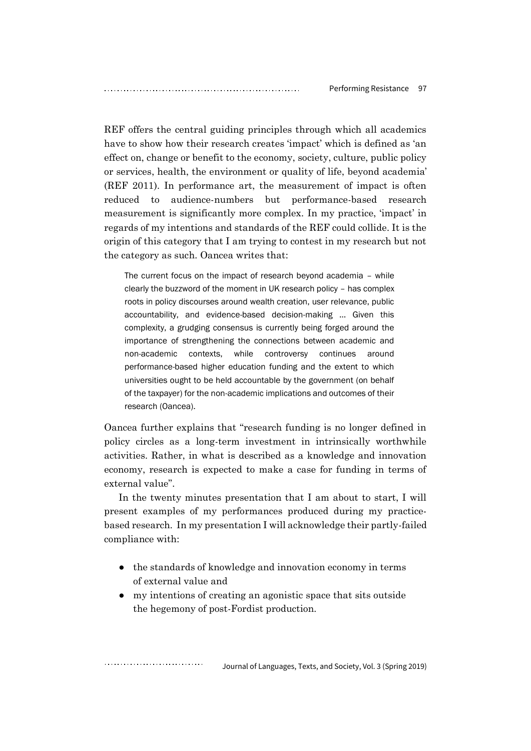REF offers the central guiding principles through which all academics have to show how their research creates 'impact' which is defined as 'an effect on, change or benefit to the economy, society, culture, public policy or services, health, the environment or quality of life, beyond academia' (REF 2011). In performance art, the measurement of impact is often reduced to audience-numbers but performance-based research measurement is significantly more complex. In my practice, 'impact' in regards of my intentions and standards of the REF could collide. It is the origin of this category that I am trying to contest in my research but not the category as such. Oancea writes that:

The current focus on the impact of research beyond academia – while clearly the buzzword of the moment in UK research policy – has complex roots in policy discourses around wealth creation, user relevance, public accountability, and evidence-based decision-making … Given this complexity, a grudging consensus is currently being forged around the importance of strengthening the connections between academic and non-academic contexts, while controversy continues around performance-based higher education funding and the extent to which universities ought to be held accountable by the government (on behalf of the taxpayer) for the non-academic implications and outcomes of their research (Oancea).

Oancea further explains that "research funding is no longer defined in policy circles as a long-term investment in intrinsically worthwhile activities. Rather, in what is described as a knowledge and innovation economy, research is expected to make a case for funding in terms of external value".

In the twenty minutes presentation that I am about to start, I will present examples of my performances produced during my practicebased research. In my presentation I will acknowledge their partly-failed compliance with:

- the standards of knowledge and innovation economy in terms of external value and
- my intentions of creating an agonistic space that sits outside the hegemony of post-Fordist production.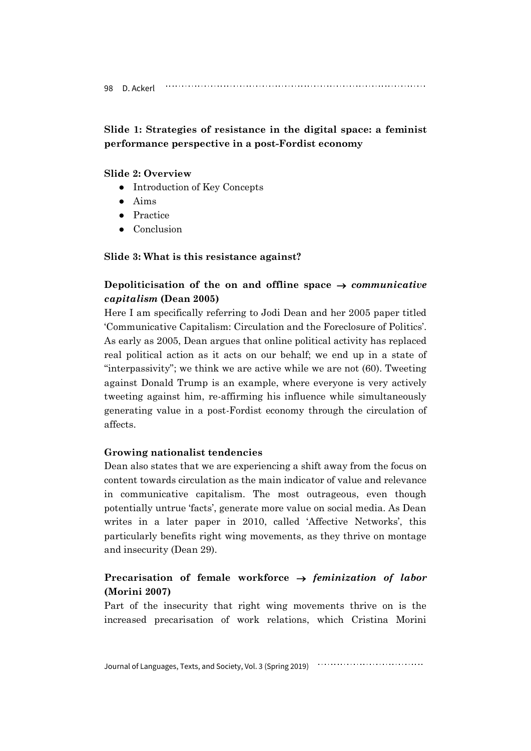98 D. Ackerl

# **Slide 1: Strategies of resistance in the digital space: a feminist performance perspective in a post-Fordist economy**

## **Slide 2: Overview**

- Introduction of Key Concepts
- Aims
- Practice
- Conclusion

## **Slide 3: What is this resistance against?**

# Depoliticisation of the on and offline space  $\rightarrow$  *communicative capitalism* **(Dean 2005)**

Here I am specifically referring to Jodi Dean and her 2005 paper titled 'Communicative Capitalism: Circulation and the Foreclosure of Politics'. As early as 2005, Dean argues that online political activity has replaced real political action as it acts on our behalf; we end up in a state of "interpassivity"; we think we are active while we are not (60). Tweeting against Donald Trump is an example, where everyone is very actively tweeting against him, re-affirming his influence while simultaneously generating value in a post-Fordist economy through the circulation of affects.

## **Growing nationalist tendencies**

Dean also states that we are experiencing a shift away from the focus on content towards circulation as the main indicator of value and relevance in communicative capitalism. The most outrageous, even though potentially untrue 'facts', generate more value on social media. As Dean writes in a later paper in 2010, called 'Affective Networks', this particularly benefits right wing movements, as they thrive on montage and insecurity (Dean 29).

# **Precarisation of female workforce** → *feminization of labor*  **(Morini 2007)**

Part of the insecurity that right wing movements thrive on is the increased precarisation of work relations, which Cristina Morini

Journal of Languages, Texts, and Society, Vol. 3 (Spring 2019) **The Contain Container**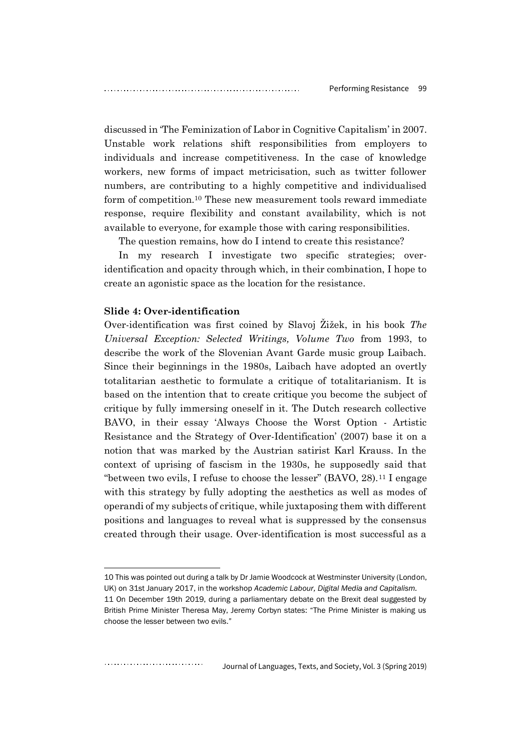discussed in 'The Feminization of Labor in Cognitive Capitalism' in 2007. Unstable work relations shift responsibilities from employers to individuals and increase competitiveness. In the case of knowledge workers, new forms of impact metricisation, such as twitter follower numbers, are contributing to a highly competitive and individualised form of competition.10 These new measurement tools reward immediate response, require flexibility and constant availability, which is not available to everyone, for example those with caring responsibilities.

The question remains, how do I intend to create this resistance?

In my research I investigate two specific strategies; overidentification and opacity through which, in their combination, I hope to create an agonistic space as the location for the resistance.

#### **Slide 4: Over-identification**

 $\overline{a}$ 

Over-identification was first coined by Slavoj Žižek, in his book *The Universal Exception: Selected Writings, Volume Two* from 1993, to describe the work of the Slovenian Avant Garde music group Laibach. Since their beginnings in the 1980s, Laibach have adopted an overtly totalitarian aesthetic to formulate a critique of totalitarianism. It is based on the intention that to create critique you become the subject of critique by fully immersing oneself in it. The Dutch research collective BAVO, in their essay 'Always Choose the Worst Option - Artistic Resistance and the Strategy of Over-Identification' (2007) base it on a notion that was marked by the Austrian satirist Karl Krauss. In the context of uprising of fascism in the 1930s, he supposedly said that "between two evils, I refuse to choose the lesser" (BAVO, 28).<sup>11</sup> I engage with this strategy by fully adopting the aesthetics as well as modes of operandi of my subjects of critique, while juxtaposing them with different positions and languages to reveal what is suppressed by the consensus created through their usage. Over-identification is most successful as a

<sup>10</sup> This was pointed out during a talk by Dr Jamie Woodcock at Westminster University (London, UK) on 31st January 2017, in the workshop *Academic Labour, Digital Media and Capitalism.*

<sup>11</sup> On December 19th 2019, during a parliamentary debate on the Brexit deal suggested by British Prime Minister Theresa May, Jeremy Corbyn states: "The Prime Minister is making us choose the lesser between two evils."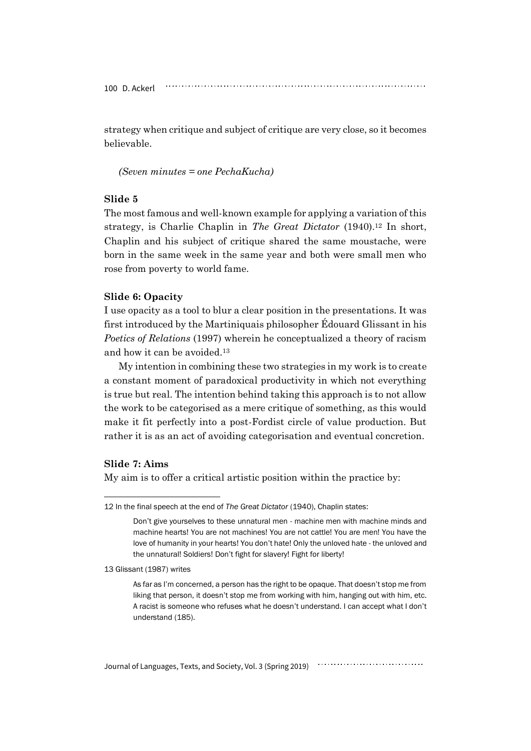| 100 D. Ackerl |  |
|---------------|--|
|---------------|--|

strategy when critique and subject of critique are very close, so it becomes believable.

*(Seven minutes = one PechaKucha)*

#### **Slide 5**

The most famous and well-known example for applying a variation of this strategy, is Charlie Chaplin in *The Great Dictator* (1940).<sup>12</sup> In short, Chaplin and his subject of critique shared the same moustache, were born in the same week in the same year and both were small men who rose from poverty to world fame.

#### **Slide 6: Opacity**

I use opacity as a tool to blur a clear position in the presentations. It was first introduced by the Martiniquais philosopher Édouard Glissant in his *Poetics of Relations* (1997) wherein he conceptualized a theory of racism and how it can be avoided.13

My intention in combining these two strategies in my work is to create a constant moment of paradoxical productivity in which not everything is true but real. The intention behind taking this approach is to not allow the work to be categorised as a mere critique of something, as this would make it fit perfectly into a post-Fordist circle of value production. But rather it is as an act of avoiding categorisation and eventual concretion.

#### **Slide 7: Aims**

 $\overline{\phantom{a}}$ 

My aim is to offer a critical artistic position within the practice by:

13 Glissant (1987) writes

Journal of Languages, Texts, and Society, Vol. 3 (Spring 2019)

<sup>12</sup> In the final speech at the end of *The Great Dictator* (1940), Chaplin states:

Don't give yourselves to these unnatural men - machine men with machine minds and machine hearts! You are not machines! You are not cattle! You are men! You have the love of humanity in your hearts! You don't hate! Only the unloved hate - the unloved and the unnatural! Soldiers! Don't fight for slavery! Fight for liberty!

As far as I'm concerned, a person has the right to be opaque. That doesn't stop me from liking that person, it doesn't stop me from working with him, hanging out with him, etc. A racist is someone who refuses what he doesn't understand. I can accept what I don't understand (185).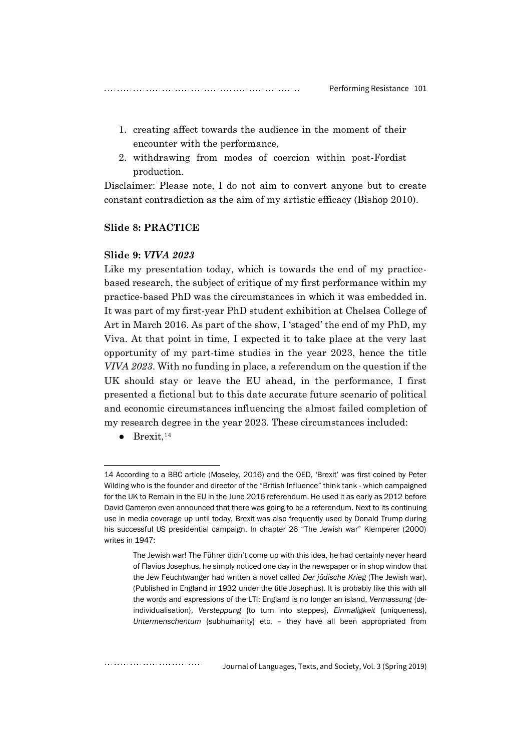- 1. creating affect towards the audience in the moment of their encounter with the performance,
- 2. withdrawing from modes of coercion within post-Fordist production.

Disclaimer: Please note, I do not aim to convert anyone but to create constant contradiction as the aim of my artistic efficacy (Bishop 2010).

#### **Slide 8: PRACTICE**

#### **Slide 9:** *VIVA 2023*

Like my presentation today, which is towards the end of my practicebased research, the subject of critique of my first performance within my practice-based PhD was the circumstances in which it was embedded in. It was part of my first-year PhD student exhibition at Chelsea College of Art in March 2016. As part of the show, I 'staged' the end of my PhD, my Viva. At that point in time, I expected it to take place at the very last opportunity of my part-time studies in the year 2023, hence the title *VIVA 2023*. With no funding in place, a referendum on the question if the UK should stay or leave the EU ahead, in the performance, I first presented a fictional but to this date accurate future scenario of political and economic circumstances influencing the almost failed completion of my research degree in the year 2023. These circumstances included:

 $\bullet$  Brexit,  $^{14}$ 

 $\overline{\phantom{a}}$ 

The Jewish war! The Führer didn't come up with this idea, he had certainly never heard of Flavius Josephus, he simply noticed one day in the newspaper or in shop window that the Jew Feuchtwanger had written a novel called *Der jüdische Krieg* (The Jewish war). (Published in England in 1932 under the title Josephus). It is probably like this with all the words and expressions of the LTI: England is no longer an island, *Vermassung* {deindividualisation}, *Versteppung* {to turn into steppes}, *Einmaligkeit* {uniqueness}, *Untermenschentum* {subhumanity} etc. – they have all been appropriated from

<sup>14</sup> According to a BBC article (Moseley, 2016) and the OED, 'Brexit' was first coined by Peter Wilding who is the founder and director of the "British Influence" think tank - which campaigned for the UK to Remain in the EU in the June 2016 referendum. He used it as early as 2012 before David Cameron even announced that there was going to be a referendum. Next to its continuing use in media coverage up until today, Brexit was also frequently used by Donald Trump during his successful US presidential campaign. In chapter 26 "The Jewish war" Klemperer (2000) writes in 1947: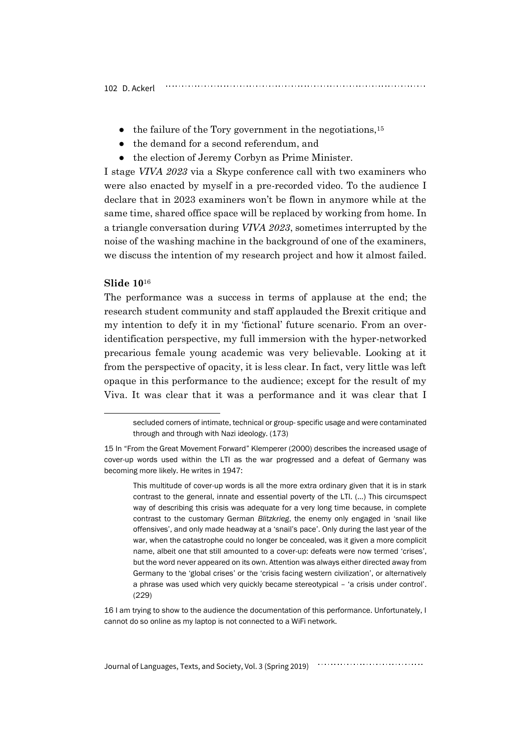- $\bullet$  the failure of the Tory government in the negotiations,  $15$
- the demand for a second referendum, and
- the election of Jeremy Corbyn as Prime Minister.

I stage *VIVA 2023* via a Skype conference call with two examiners who were also enacted by myself in a pre-recorded video. To the audience I declare that in 2023 examiners won't be flown in anymore while at the same time, shared office space will be replaced by working from home. In a triangle conversation during *VIVA 2023*, sometimes interrupted by the noise of the washing machine in the background of one of the examiners, we discuss the intention of my research project and how it almost failed.

## **Slide 10**<sup>16</sup>

 $\overline{a}$ 

The performance was a success in terms of applause at the end; the research student community and staff applauded the Brexit critique and my intention to defy it in my 'fictional' future scenario. From an overidentification perspective, my full immersion with the hyper-networked precarious female young academic was very believable. Looking at it from the perspective of opacity, it is less clear. In fact, very little was left opaque in this performance to the audience; except for the result of my Viva. It was clear that it was a performance and it was clear that I

16 I am trying to show to the audience the documentation of this performance. Unfortunately, I cannot do so online as my laptop is not connected to a WiFi network.

Journal of Languages, Texts, and Society, Vol. 3 (Spring 2019)

secluded corners of intimate, technical or group- specific usage and were contaminated through and through with Nazi ideology. (173)

<sup>15</sup> In "From the Great Movement Forward" Klemperer (2000) describes the increased usage of cover-up words used within the LTI as the war progressed and a defeat of Germany was becoming more likely. He writes in 1947:

This multitude of cover-up words is all the more extra ordinary given that it is in stark contrast to the general, innate and essential poverty of the LTI. (…) This circumspect way of describing this crisis was adequate for a very long time because, in complete contrast to the customary German *Blitzkrieg*, the enemy only engaged in 'snail like offensives', and only made headway at a 'snail's pace'. Only during the last year of the war, when the catastrophe could no longer be concealed, was it given a more complicit name, albeit one that still amounted to a cover-up: defeats were now termed 'crises', but the word never appeared on its own. Attention was always either directed away from Germany to the 'global crises' or the 'crisis facing western civilization', or alternatively a phrase was used which very quickly became stereotypical – 'a crisis under control'. (229)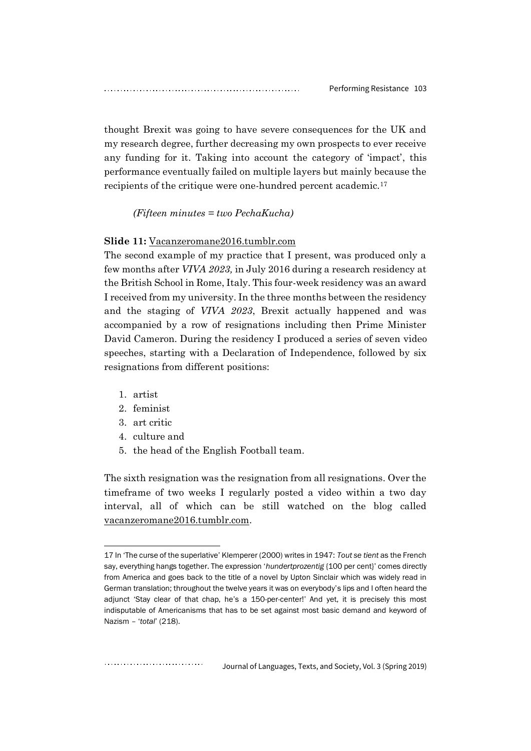thought Brexit was going to have severe consequences for the UK and my research degree, further decreasing my own prospects to ever receive any funding for it. Taking into account the category of 'impact', this performance eventually failed on multiple layers but mainly because the recipients of the critique were one-hundred percent academic.17

#### *(Fifteen minutes = two PechaKucha)*

#### **Slide 11:** Vacanzeromane2016.tumblr.com

The second example of my practice that I present, was produced only a few months after *VIVA 2023,* in July 2016 during a research residency at the British School in Rome, Italy. This four-week residency was an award I received from my university. In the three months between the residency and the staging of *VIVA 2023*, Brexit actually happened and was accompanied by a row of resignations including then Prime Minister David Cameron. During the residency I produced a series of seven video speeches, starting with a Declaration of Independence, followed by six resignations from different positions:

1. artist

 $\overline{a}$ 

- 2. feminist
- 3. art critic
- 4. culture and

5. the head of the English Football team.

The sixth resignation was the resignation from all resignations. Over the timeframe of two weeks I regularly posted a video within a two day interval, all of which can be still watched on the blog called vacanzeromane2016.tumblr.com.

<sup>17</sup> In 'The curse of the superlative' Klemperer (2000) writes in 1947: *Tout se tient* as the French say, everything hangs together. The expression '*hundertprozentig* {100 per cent}' comes directly from America and goes back to the title of a novel by Upton Sinclair which was widely read in German translation; throughout the twelve years it was on everybody's lips and I often heard the adjunct 'Stay clear of that chap, he's a 150-per-center!' And yet, it is precisely this most indisputable of Americanisms that has to be set against most basic demand and keyword of Nazism – '*total*' (218).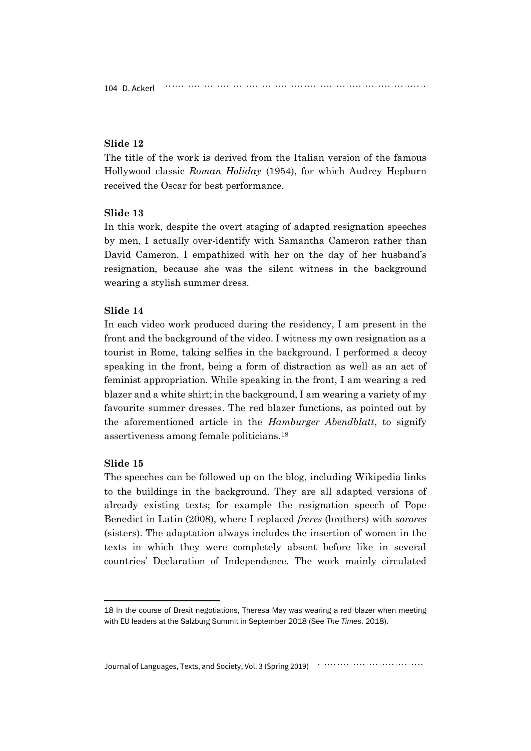## **Slide 12**

The title of the work is derived from the Italian version of the famous Hollywood classic *Roman Holiday* (1954), for which Audrey Hepburn received the Oscar for best performance.

## **Slide 13**

In this work, despite the overt staging of adapted resignation speeches by men, I actually over-identify with Samantha Cameron rather than David Cameron. I empathized with her on the day of her husband's resignation, because she was the silent witness in the background wearing a stylish summer dress.

## **Slide 14**

In each video work produced during the residency, I am present in the front and the background of the video. I witness my own resignation as a tourist in Rome, taking selfies in the background. I performed a decoy speaking in the front, being a form of distraction as well as an act of feminist appropriation. While speaking in the front, I am wearing a red blazer and a white shirt; in the background, I am wearing a variety of my favourite summer dresses. The red blazer functions, as pointed out by the aforementioned article in the *Hamburger Abendblatt*, to signify assertiveness among female politicians.18

## **Slide 15**

 $\overline{a}$ 

The speeches can be followed up on the blog, including Wikipedia links to the buildings in the background. They are all adapted versions of already existing texts; for example the resignation speech of Pope Benedict in Latin (2008), where I replaced *freres* (brothers) with *sorores* (sisters). The adaptation always includes the insertion of women in the texts in which they were completely absent before like in several countries' Declaration of Independence. The work mainly circulated

Journal of Languages, Texts, and Society, Vol. 3 (Spring 2019) . . . . . . . . . . . .

<sup>18</sup> In the course of Brexit negotiations, Theresa May was wearing a red blazer when meeting with EU leaders at the Salzburg Summit in September 2018 (See *The Times*, 2018).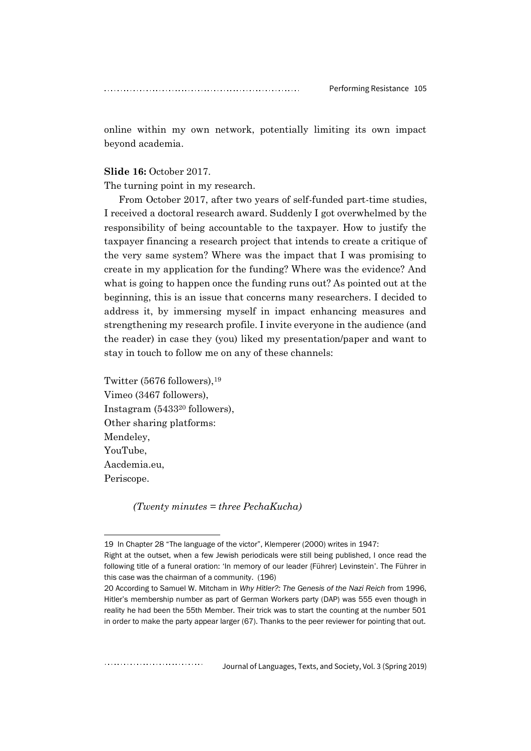online within my own network, potentially limiting its own impact beyond academia.

## **Slide 16:** October 2017.

The turning point in my research.

From October 2017, after two years of self-funded part-time studies, I received a doctoral research award. Suddenly I got overwhelmed by the responsibility of being accountable to the taxpayer. How to justify the taxpayer financing a research project that intends to create a critique of the very same system? Where was the impact that I was promising to create in my application for the funding? Where was the evidence? And what is going to happen once the funding runs out? As pointed out at the beginning, this is an issue that concerns many researchers. I decided to address it, by immersing myself in impact enhancing measures and strengthening my research profile. I invite everyone in the audience (and the reader) in case they (you) liked my presentation/paper and want to stay in touch to follow me on any of these channels:

Twitter (5676 followers),19 Vimeo (3467 followers), Instagram (543320 followers), Other sharing platforms: Mendeley, YouTube, Aacdemia.eu, Periscope.

 $\overline{a}$ 

*(Twenty minutes = three PechaKucha)*

<sup>19</sup> In Chapter 28 "The language of the victor", Klemperer (2000) writes in 1947: Right at the outset, when a few Jewish periodicals were still being published, I once read the following title of a funeral oration: 'In memory of our leader {Führer} Levinstein'. The Führer in

this case was the chairman of a community. (196)

<sup>20</sup> According to Samuel W. Mitcham in *Why Hitler?: The Genesis of the Nazi Reich* from 1996, Hitler's membership number as part of German Workers party (DAP) was 555 even though in reality he had been the 55th Member. Their trick was to start the counting at the number 501 in order to make the party appear larger (67). Thanks to the peer reviewer for pointing that out.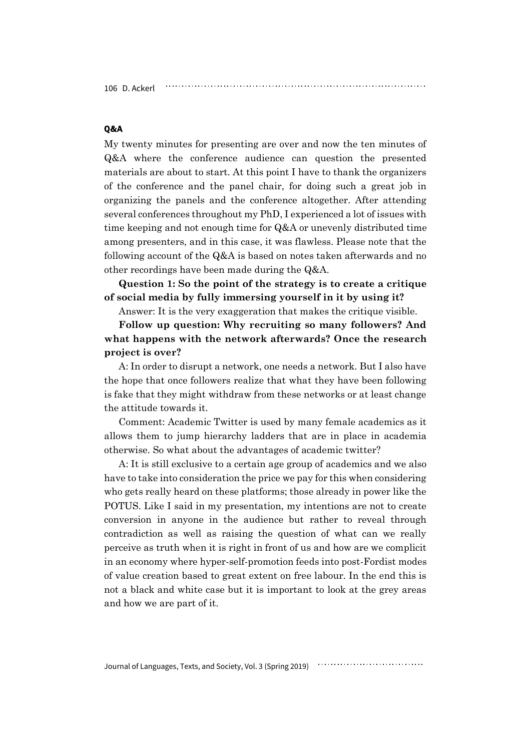#### Q&A

My twenty minutes for presenting are over and now the ten minutes of Q&A where the conference audience can question the presented materials are about to start. At this point I have to thank the organizers of the conference and the panel chair, for doing such a great job in organizing the panels and the conference altogether. After attending several conferences throughout my PhD, I experienced a lot of issues with time keeping and not enough time for Q&A or unevenly distributed time among presenters, and in this case, it was flawless. Please note that the following account of the Q&A is based on notes taken afterwards and no other recordings have been made during the Q&A.

**Question 1: So the point of the strategy is to create a critique of social media by fully immersing yourself in it by using it?** 

Answer: It is the very exaggeration that makes the critique visible.

**Follow up question: Why recruiting so many followers? And what happens with the network afterwards? Once the research project is over?**

A: In order to disrupt a network, one needs a network. But I also have the hope that once followers realize that what they have been following is fake that they might withdraw from these networks or at least change the attitude towards it.

Comment: Academic Twitter is used by many female academics as it allows them to jump hierarchy ladders that are in place in academia otherwise. So what about the advantages of academic twitter?

A: It is still exclusive to a certain age group of academics and we also have to take into consideration the price we pay for this when considering who gets really heard on these platforms; those already in power like the POTUS. Like I said in my presentation, my intentions are not to create conversion in anyone in the audience but rather to reveal through contradiction as well as raising the question of what can we really perceive as truth when it is right in front of us and how are we complicit in an economy where hyper-self-promotion feeds into post-Fordist modes of value creation based to great extent on free labour. In the end this is not a black and white case but it is important to look at the grey areas and how we are part of it.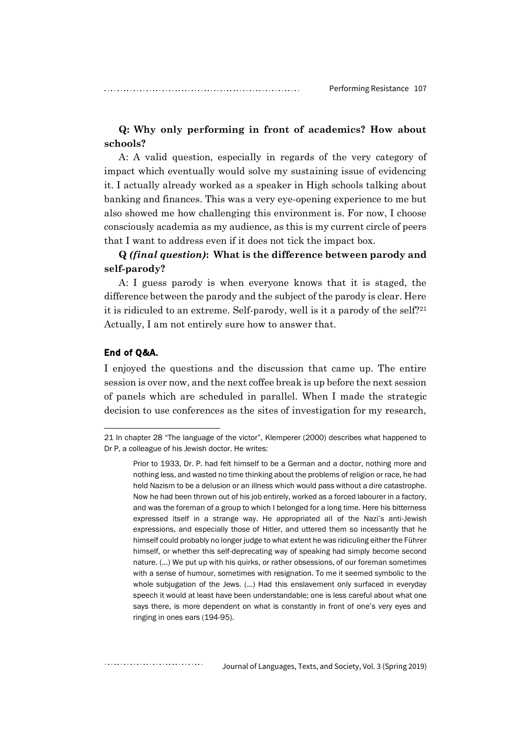## **Q: Why only performing in front of academics? How about schools?**

A: A valid question, especially in regards of the very category of impact which eventually would solve my sustaining issue of evidencing it. I actually already worked as a speaker in High schools talking about banking and finances. This was a very eye-opening experience to me but also showed me how challenging this environment is. For now, I choose consciously academia as my audience, as this is my current circle of peers that I want to address even if it does not tick the impact box.

# **Q** *(final question)***: What is the difference between parody and self-parody?**

A: I guess parody is when everyone knows that it is staged, the difference between the parody and the subject of the parody is clear. Here it is ridiculed to an extreme. Self-parody, well is it a parody of the self?21 Actually, I am not entirely sure how to answer that.

#### End of Q&A.

 $\overline{a}$ 

I enjoyed the questions and the discussion that came up. The entire session is over now, and the next coffee break is up before the next session of panels which are scheduled in parallel. When I made the strategic decision to use conferences as the sites of investigation for my research,

<sup>21</sup> In chapter 28 "The language of the victor", Klemperer (2000) describes what happened to Dr P, a colleague of his Jewish doctor. He writes:

Prior to 1933, Dr. P. had felt himself to be a German and a doctor, nothing more and nothing less, and wasted no time thinking about the problems of religion or race, he had held Nazism to be a delusion or an illness which would pass without a dire catastrophe. Now he had been thrown out of his job entirely, worked as a forced labourer in a factory, and was the foreman of a group to which I belonged for a long time. Here his bitterness expressed itself in a strange way. He appropriated all of the Nazi's anti-Jewish expressions, and especially those of Hitler, and uttered them so incessantly that he himself could probably no longer judge to what extent he was ridiculing either the Führer himself, or whether this self-deprecating way of speaking had simply become second nature. (…) We put up with his quirks, or rather obsessions, of our foreman sometimes with a sense of humour, sometimes with resignation. To me it seemed symbolic to the whole subjugation of the Jews. (…) Had this enslavement only surfaced in everyday speech it would at least have been understandable; one is less careful about what one says there, is more dependent on what is constantly in front of one's very eyes and ringing in ones ears (194-95).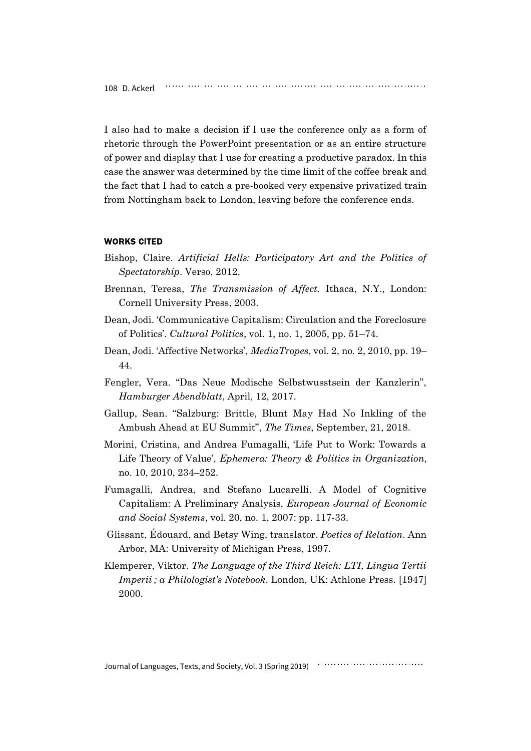|--|--|--|

I also had to make a decision if I use the conference only as a form of rhetoric through the PowerPoint presentation or as an entire structure of power and display that I use for creating a productive paradox. In this case the answer was determined by the time limit of the coffee break and the fact that I had to catch a pre-booked very expensive privatized train from Nottingham back to London, leaving before the conference ends.

#### WORKS CITED

- Bishop, Claire. *Artificial Hells: Participatory Art and the Politics of Spectatorship*. Verso, 2012.
- Brennan, Teresa, *The Transmission of Affect.* Ithaca, N.Y., London: Cornell University Press, 2003.
- Dean, Jodi. 'Communicative Capitalism: Circulation and the Foreclosure of Politics'. *Cultural Politics*, vol. 1, no. 1, 2005, pp. 51–74.
- Dean, Jodi. 'Affective Networks', *MediaTropes*, vol. 2, no. 2, 2010, pp. 19– 44.
- Fengler, Vera. "Das Neue Modische Selbstwusstsein der Kanzlerin", *Hamburger Abendblatt*, April, 12, 2017.
- Gallup, Sean. "Salzburg: Brittle, Blunt May Had No Inkling of the Ambush Ahead at EU Summit", *The Times*, September, 21, 2018.
- Morini, Cristina, and Andrea Fumagalli, 'Life Put to Work: Towards a Life Theory of Value', *Ephemera: Theory & Politics in Organization*, no. 10, 2010, 234–252.
- Fumagalli, Andrea, and Stefano Lucarelli. A Model of Cognitive Capitalism: A Preliminary Analysis, *European Journal of Economic and Social Systems*, vol. 20, no. 1, 2007: pp. 117-33.
- Glissant, Édouard, and Betsy Wing, translator. *Poetics of Relation*. Ann Arbor, MA: University of Michigan Press, 1997.
- Klemperer, Viktor. *The Language of the Third Reich: LTI, Lingua Tertii Imperii ; a Philologist's Notebook*. London, UK: Athlone Press. [1947] 2000.

. . . . . . . . . . . . Journal of Languages, Texts, and Society, Vol. 3 (Spring 2019)